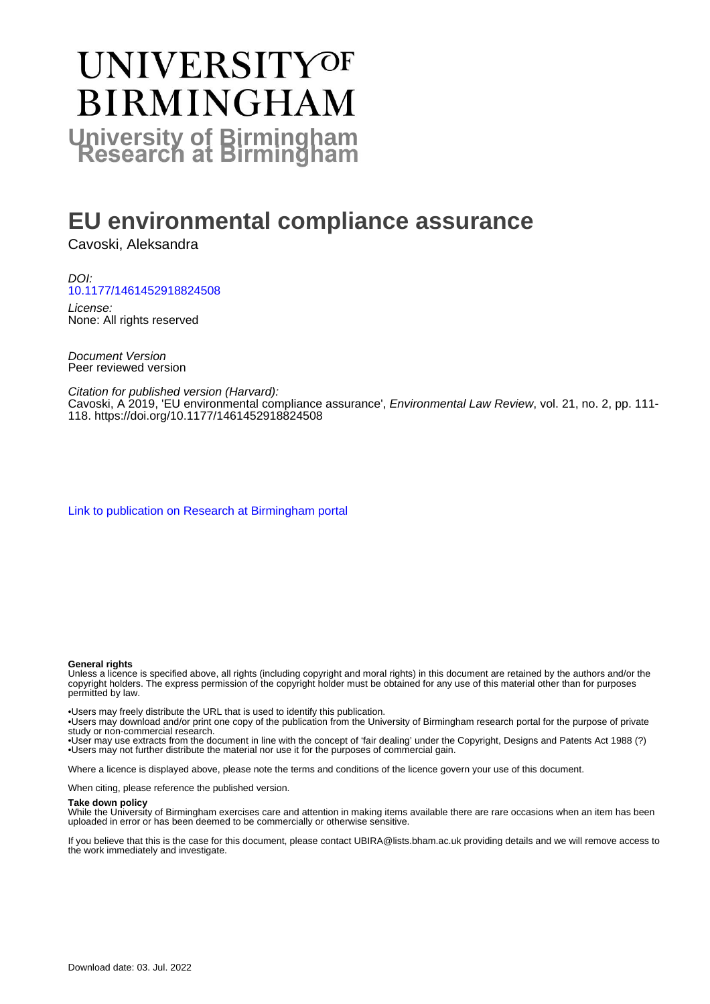# **UNIVERSITYOF BIRMINGHAM University of Birmingham**

# **EU environmental compliance assurance**

Cavoski, Aleksandra

DOI: [10.1177/1461452918824508](https://doi.org/10.1177/1461452918824508)

License: None: All rights reserved

Document Version Peer reviewed version

Citation for published version (Harvard): Cavoski, A 2019, 'EU environmental compliance assurance', Environmental Law Review, vol. 21, no. 2, pp. 111-118.<https://doi.org/10.1177/1461452918824508>

[Link to publication on Research at Birmingham portal](https://birmingham.elsevierpure.com/en/publications/89222b9e-3714-47a0-ae28-d7c13248ee3e)

#### **General rights**

Unless a licence is specified above, all rights (including copyright and moral rights) in this document are retained by the authors and/or the copyright holders. The express permission of the copyright holder must be obtained for any use of this material other than for purposes permitted by law.

• Users may freely distribute the URL that is used to identify this publication.

• Users may download and/or print one copy of the publication from the University of Birmingham research portal for the purpose of private study or non-commercial research.

• User may use extracts from the document in line with the concept of 'fair dealing' under the Copyright, Designs and Patents Act 1988 (?) • Users may not further distribute the material nor use it for the purposes of commercial gain.

Where a licence is displayed above, please note the terms and conditions of the licence govern your use of this document.

When citing, please reference the published version.

#### **Take down policy**

While the University of Birmingham exercises care and attention in making items available there are rare occasions when an item has been uploaded in error or has been deemed to be commercially or otherwise sensitive.

If you believe that this is the case for this document, please contact UBIRA@lists.bham.ac.uk providing details and we will remove access to the work immediately and investigate.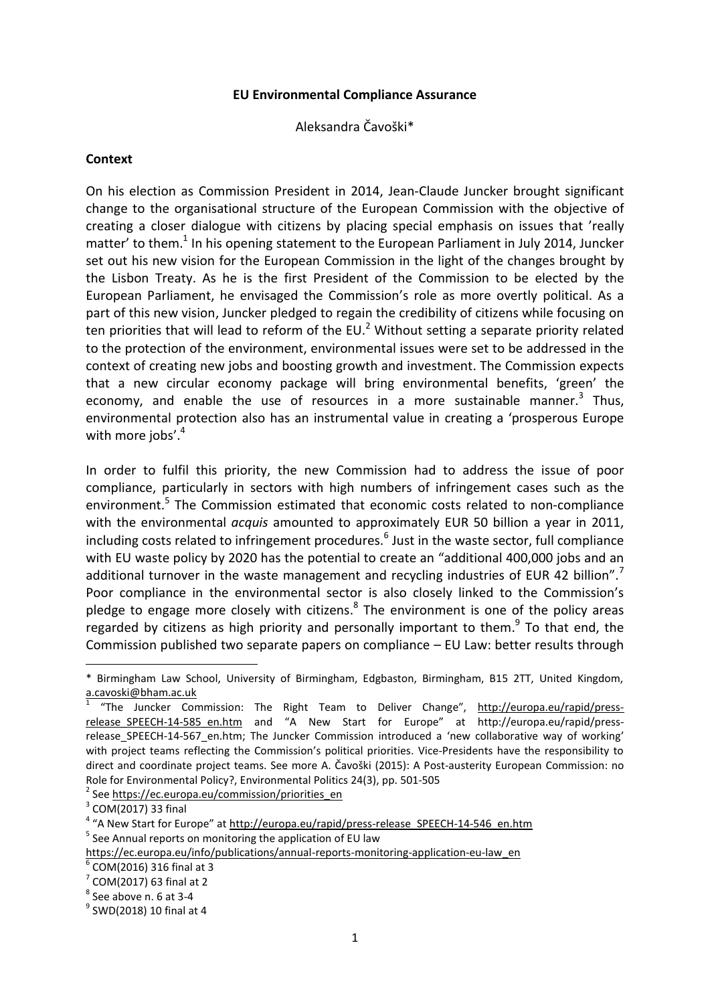#### **EU Environmental Compliance Assurance**

Aleksandra Čavoški\*

#### **Context**

On his election as Commission President in 2014, Jean-Claude Juncker brought significant change to the organisational structure of the European Commission with the objective of creating a closer dialogue with citizens by placing special emphasis on issues that 'really matter' to them.<sup>1</sup> In his opening statement to the European Parliament in July 2014, Juncker set out his new vision for the European Commission in the light of the changes brought by the Lisbon Treaty. As he is the first President of the Commission to be elected by the European Parliament, he envisaged the Commission's role as more overtly political. As a part of this new vision, Juncker pledged to regain the credibility of citizens while focusing on ten priorities that will lead to reform of the EU.<sup>2</sup> Without setting a separate priority related to the protection of the environment, environmental issues were set to be addressed in the context of creating new jobs and boosting growth and investment. The Commission expects that a new circular economy package will bring environmental benefits, 'green' the economy, and enable the use of resources in a more sustainable manner. $3$  Thus, environmental protection also has an instrumental value in creating a 'prosperous Europe with more jobs'.<sup>4</sup>

In order to fulfil this priority, the new Commission had to address the issue of poor compliance, particularly in sectors with high numbers of infringement cases such as the environment.<sup>5</sup> The Commission estimated that economic costs related to non-compliance with the environmental *acquis* amounted to approximately EUR 50 billion a year in 2011, including costs related to infringement procedures.<sup>6</sup> Just in the waste sector, full compliance with EU waste policy by 2020 has the potential to create an "additional 400,000 jobs and an additional turnover in the waste management and recycling industries of EUR 42 billion".<sup>7</sup> Poor compliance in the environmental sector is also closely linked to the Commission's pledge to engage more closely with citizens.<sup>8</sup> The environment is one of the policy areas regarded by citizens as high priority and personally important to them.<sup>9</sup> To that end, the Commission published two separate papers on compliance – EU Law: better results through

<sup>2</sup> See [https://ec.europa.eu/commission/priorities\\_en](https://ec.europa.eu/commission/priorities_en)

<sup>\*</sup> Birmingham Law School, University of Birmingham, Edgbaston, Birmingham, B15 2TT, United Kingdom, [a.cavoski@bham.ac.uk](mailto:a.cavoski@bham.ac.uk)

<sup>1</sup> "The Juncker Commission: The Right Team to Deliver Change", [http://europa.eu/rapid/press](http://europa.eu/rapid/press-release_SPEECH-14-585_en.htm)release SPEECH-14-585 en.htm and "A New Start for Europe" at http://europa.eu/rapid/pressrelease SPEECH-14-567 en.htm; The Juncker Commission introduced a 'new collaborative way of working' with project teams reflecting the Commission's political priorities. Vice-Presidents have the responsibility to direct and coordinate project teams. See more A. Čavoški (2015): A Post-austerity European Commission: no Role for Environmental Policy?, Environmental Politics 24(3), pp. 501-505

 $3$  COM(2017) 33 final

<sup>&</sup>lt;sup>4</sup> "A New Start for Europe" at [http://europa.eu/rapid/press-release\\_SPEECH-14-546\\_en.htm](http://europa.eu/rapid/press-release_SPEECH-14-546_en.htm) <sup>5</sup> See Annual reports on monitoring the application of EU law

[https://ec.europa.eu/info/publications/annual-reports-monitoring-application-eu-law\\_en](https://ec.europa.eu/info/publications/annual-reports-monitoring-application-eu-law_en)

<sup>6</sup> COM(2016) 316 final at 3

 $<sup>7</sup>$  COM(2017) 63 final at 2</sup>

 $<sup>8</sup>$  See above n. 6 at 3-4</sup>

 $<sup>9</sup>$  SWD(2018) 10 final at 4</sup>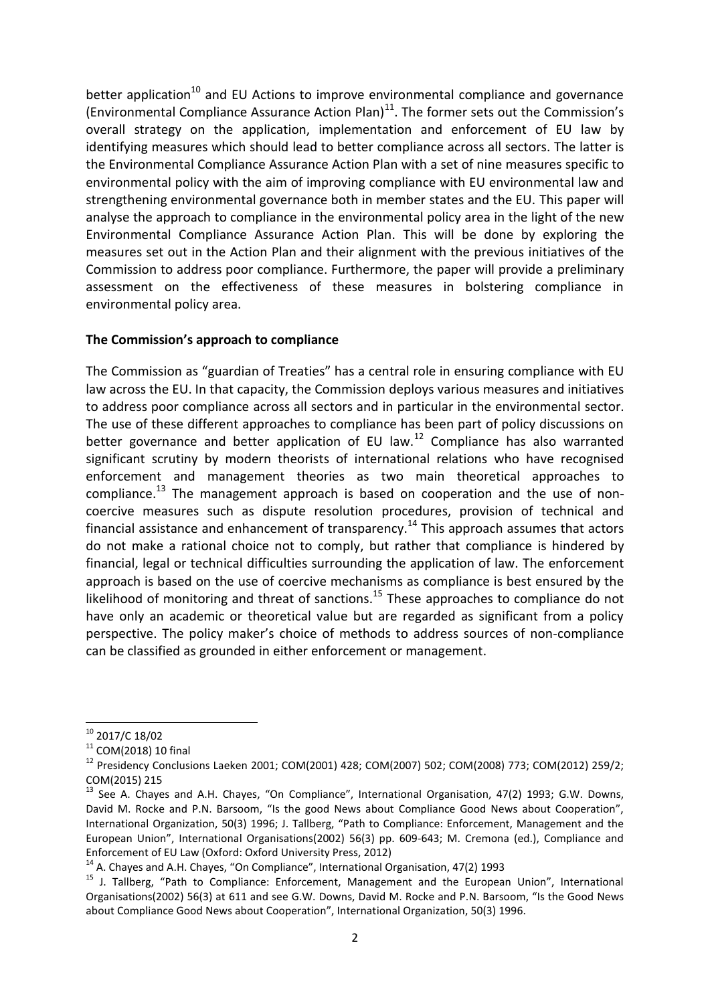better application<sup>10</sup> and EU Actions to improve environmental compliance and governance (Environmental Compliance Assurance Action Plan) $^{11}$ . The former sets out the Commission's overall strategy on the application, implementation and enforcement of EU law by identifying measures which should lead to better compliance across all sectors. The latter is the Environmental Compliance Assurance Action Plan with a set of nine measures specific to environmental policy with the aim of improving compliance with EU environmental law and strengthening environmental governance both in member states and the EU. This paper will analyse the approach to compliance in the environmental policy area in the light of the new Environmental Compliance Assurance Action Plan. This will be done by exploring the measures set out in the Action Plan and their alignment with the previous initiatives of the Commission to address poor compliance. Furthermore, the paper will provide a preliminary assessment on the effectiveness of these measures in bolstering compliance in environmental policy area.

#### **The Commission's approach to compliance**

The Commission as "guardian of Treaties" has a central role in ensuring compliance with EU law across the EU. In that capacity, the Commission deploys various measures and initiatives to address poor compliance across all sectors and in particular in the environmental sector. The use of these different approaches to compliance has been part of policy discussions on better governance and better application of EU law.<sup>12</sup> Compliance has also warranted significant scrutiny by modern theorists of international relations who have recognised enforcement and management theories as two main theoretical approaches to compliance.<sup>13</sup> The management approach is based on cooperation and the use of noncoercive measures such as dispute resolution procedures, provision of technical and financial assistance and enhancement of transparency.<sup>14</sup> This approach assumes that actors do not make a rational choice not to comply, but rather that compliance is hindered by financial, legal or technical difficulties surrounding the application of law. The enforcement approach is based on the use of coercive mechanisms as compliance is best ensured by the likelihood of monitoring and threat of sanctions.<sup>15</sup> These approaches to compliance do not have only an academic or theoretical value but are regarded as significant from a policy perspective. The policy maker's choice of methods to address sources of non-compliance can be classified as grounded in either enforcement or management.

1

 $10$  2017/C 18/02

 $11$  COM(2018) 10 final

<sup>12</sup> Presidency Conclusions Laeken 2001; COM(2001) 428; COM(2007) 502; COM(2008) 773; COM(2012) 259/2; COM(2015) 215

<sup>13</sup> See A. Chayes and A.H. Chayes, "On Compliance", International Organisation, 47(2) 1993; G.W. Downs, David M. Rocke and P.N. Barsoom, "Is the good News about Compliance Good News about Cooperation", International Organization, 50(3) 1996; J. Tallberg, "Path to Compliance: Enforcement, Management and the European Union", International Organisations(2002) 56(3) pp. 609-643; M. Cremona (ed.), Compliance and Enforcement of EU Law (Oxford: Oxford University Press, 2012)

<sup>&</sup>lt;sup>14</sup> A. Chayes and A.H. Chayes, "On Compliance", International Organisation, 47(2) 1993

<sup>&</sup>lt;sup>15</sup> J. Tallberg, "Path to Compliance: Enforcement, Management and the European Union", International Organisations(2002) 56(3) at 611 and see G.W. Downs, David M. Rocke and P.N. Barsoom, "Is the Good News about Compliance Good News about Cooperation", International Organization, 50(3) 1996.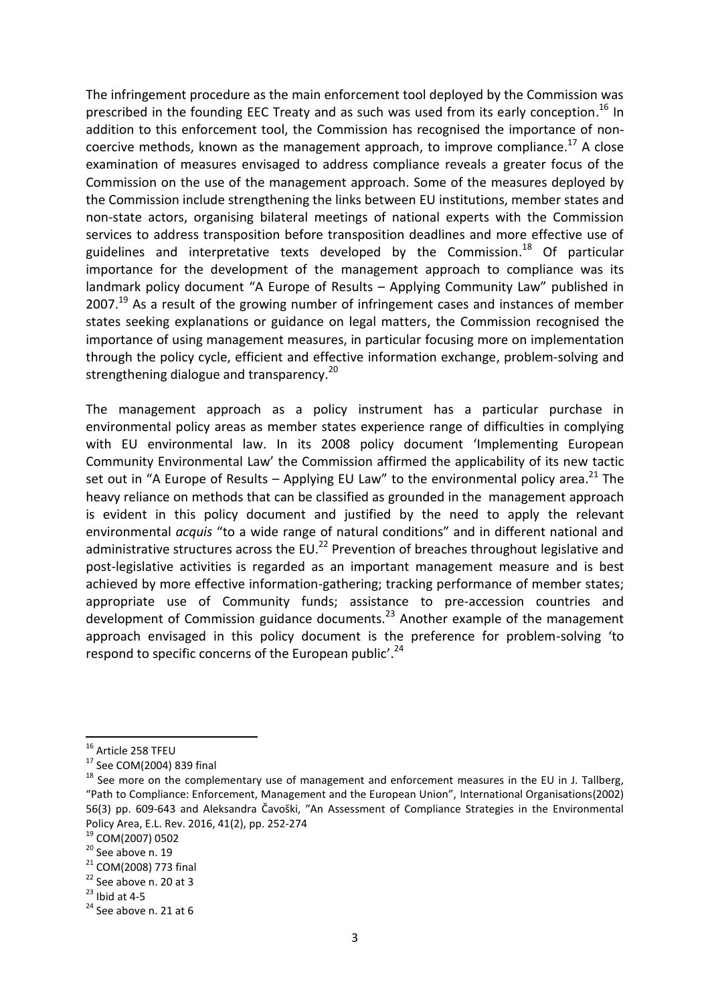The infringement procedure as the main enforcement tool deployed by the Commission was prescribed in the founding EEC Treaty and as such was used from its early conception.<sup>16</sup> In addition to this enforcement tool, the Commission has recognised the importance of noncoercive methods, known as the management approach, to improve compliance.<sup>17</sup> A close examination of measures envisaged to address compliance reveals a greater focus of the Commission on the use of the management approach. Some of the measures deployed by the Commission include strengthening the links between EU institutions, member states and non-state actors, organising bilateral meetings of national experts with the Commission services to address transposition before transposition deadlines and more effective use of guidelines and interpretative texts developed by the Commission.<sup>18</sup> Of particular importance for the development of the management approach to compliance was its landmark policy document "A Europe of Results – Applying Community Law" published in  $2007.<sup>19</sup>$  As a result of the growing number of infringement cases and instances of member states seeking explanations or guidance on legal matters, the Commission recognised the importance of using management measures, in particular focusing more on implementation through the policy cycle, efficient and effective information exchange, problem-solving and strengthening dialogue and transparency.<sup>20</sup>

The management approach as a policy instrument has a particular purchase in environmental policy areas as member states experience range of difficulties in complying with EU environmental law. In its 2008 policy document 'Implementing European Community Environmental Law' the Commission affirmed the applicability of its new tactic set out in "A Europe of Results – Applying EU Law" to the environmental policy area.<sup>21</sup> The heavy reliance on methods that can be classified as grounded in the management approach is evident in this policy document and justified by the need to apply the relevant environmental *acquis* "to a wide range of natural conditions" and in different national and administrative structures across the EU.<sup>22</sup> Prevention of breaches throughout legislative and post-legislative activities is regarded as an important management measure and is best achieved by more effective information-gathering; tracking performance of member states; appropriate use of Community funds; assistance to pre-accession countries and development of Commission guidance documents.<sup>23</sup> Another example of the management approach envisaged in this policy document is the preference for problem-solving 'to respond to specific concerns of the European public'.<sup>24</sup>

 $\overline{a}$ 

<sup>&</sup>lt;sup>16</sup> Article 258 TFEU

<sup>17</sup> See COM(2004) 839 final

 $18$  See more on the complementary use of management and enforcement measures in the EU in J. Tallberg, "Path to Compliance: Enforcement, Management and the European Union", International Organisations(2002) 56(3) pp. 609-643 and Aleksandra Čavoški, "An Assessment of Compliance Strategies in the Environmental Policy Area, E.L. Rev. 2016, 41(2), pp. 252-274

<sup>19</sup> COM(2007) 0502

 $20$  See above n. 19

<sup>21</sup> COM(2008) 773 final

 $22$  See above n. 20 at 3

 $23$  Ibid at 4-5

 $24$  See above n. 21 at 6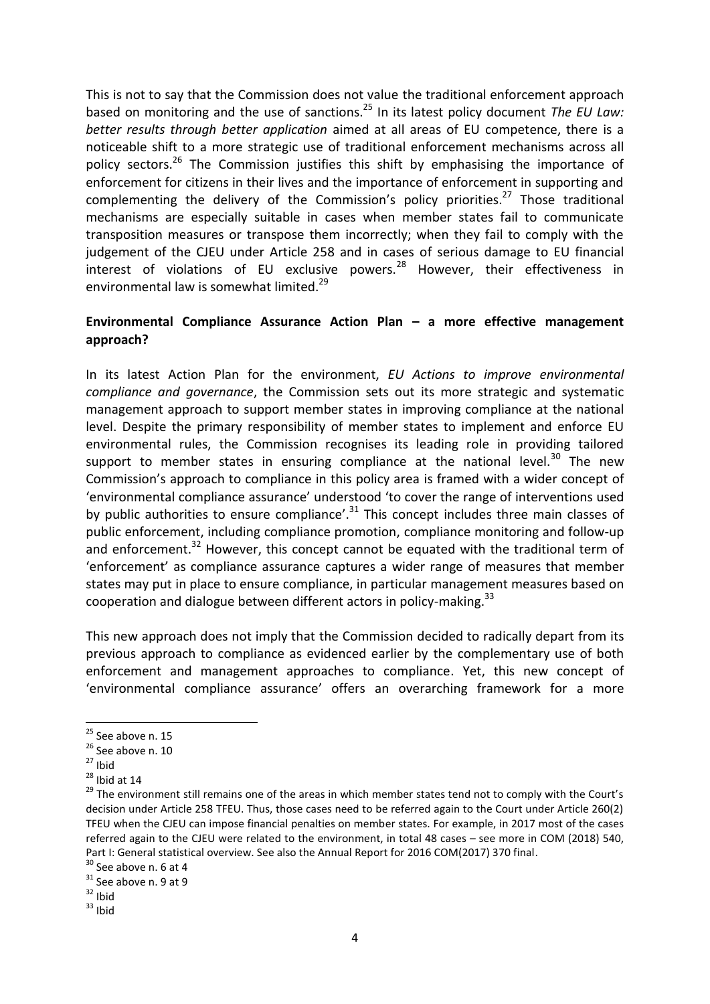This is not to say that the Commission does not value the traditional enforcement approach based on monitoring and the use of sanctions.<sup>25</sup> In its latest policy document *The EU Law: better results through better application* aimed at all areas of EU competence, there is a noticeable shift to a more strategic use of traditional enforcement mechanisms across all policy sectors.<sup>26</sup> The Commission justifies this shift by emphasising the importance of enforcement for citizens in their lives and the importance of enforcement in supporting and complementing the delivery of the Commission's policy priorities.<sup>27</sup> Those traditional mechanisms are especially suitable in cases when member states fail to communicate transposition measures or transpose them incorrectly; when they fail to comply with the judgement of the CJEU under Article 258 and in cases of serious damage to EU financial interest of violations of EU exclusive powers. $^{28}$  However, their effectiveness in environmental law is somewhat limited.<sup>29</sup>

## **Environmental Compliance Assurance Action Plan – a more effective management approach?**

In its latest Action Plan for the environment, *EU Actions to improve environmental compliance and governance*, the Commission sets out its more strategic and systematic management approach to support member states in improving compliance at the national level. Despite the primary responsibility of member states to implement and enforce EU environmental rules, the Commission recognises its leading role in providing tailored support to member states in ensuring compliance at the national level.<sup>30</sup> The new Commission's approach to compliance in this policy area is framed with a wider concept of 'environmental compliance assurance' understood 'to cover the range of interventions used by public authorities to ensure compliance'.<sup>31</sup> This concept includes three main classes of public enforcement, including compliance promotion, compliance monitoring and follow-up and enforcement.<sup>32</sup> However, this concept cannot be equated with the traditional term of 'enforcement' as compliance assurance captures a wider range of measures that member states may put in place to ensure compliance, in particular management measures based on cooperation and dialogue between different actors in policy-making. $33$ 

This new approach does not imply that the Commission decided to radically depart from its previous approach to compliance as evidenced earlier by the complementary use of both enforcement and management approaches to compliance. Yet, this new concept of 'environmental compliance assurance' offers an overarching framework for a more

1

 $25$  See above n. 15

 $26$  See above n. 10

 $27$  Ibid

 $28$  Ibid at 14

<sup>&</sup>lt;sup>29</sup> The environment still remains one of the areas in which member states tend not to comply with the Court's decision under Article 258 TFEU. Thus, those cases need to be referred again to the Court under Article 260(2) TFEU when the CJEU can impose financial penalties on member states. For example, in 2017 most of the cases referred again to the CJEU were related to the environment, in total 48 cases – see more in COM (2018) 540, Part I: General statistical overview. See also the Annual Report for 2016 COM(2017) 370 final.

 $30$  See above n. 6 at 4

 $31$  See above n. 9 at 9

 $32$  Ibid

 $33$  Ibid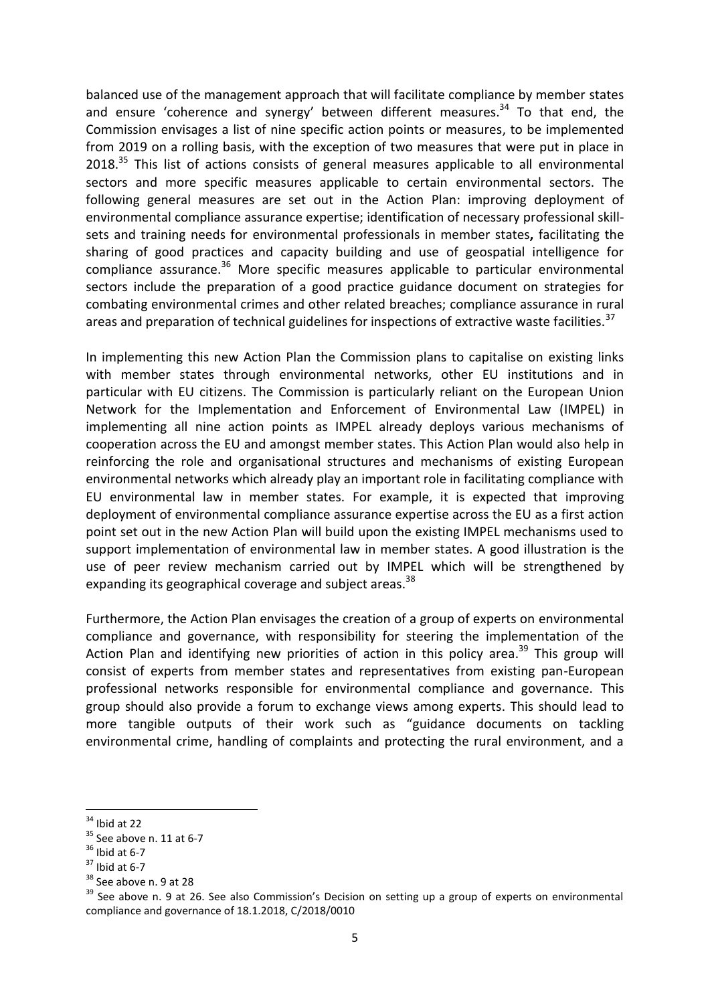balanced use of the management approach that will facilitate compliance by member states and ensure 'coherence and synergy' between different measures.<sup>34</sup> To that end, the Commission envisages a list of nine specific action points or measures, to be implemented from 2019 on a rolling basis, with the exception of two measures that were put in place in 2018.<sup>35</sup> This list of actions consists of general measures applicable to all environmental sectors and more specific measures applicable to certain environmental sectors. The following general measures are set out in the Action Plan: improving deployment of environmental compliance assurance expertise; identification of necessary professional skillsets and training needs for environmental professionals in member states**,** facilitating the sharing of good practices and capacity building and use of geospatial intelligence for compliance assurance.<sup>36</sup> More specific measures applicable to particular environmental sectors include the preparation of a good practice guidance document on strategies for combating environmental crimes and other related breaches; compliance assurance in rural areas and preparation of technical guidelines for inspections of extractive waste facilities.<sup>37</sup>

In implementing this new Action Plan the Commission plans to capitalise on existing links with member states through environmental networks, other EU institutions and in particular with EU citizens. The Commission is particularly reliant on the European Union Network for the Implementation and Enforcement of Environmental Law (IMPEL) in implementing all nine action points as IMPEL already deploys various mechanisms of cooperation across the EU and amongst member states. This Action Plan would also help in reinforcing the role and organisational structures and mechanisms of existing European environmental networks which already play an important role in facilitating compliance with EU environmental law in member states. For example, it is expected that improving deployment of environmental compliance assurance expertise across the EU as a first action point set out in the new Action Plan will build upon the existing IMPEL mechanisms used to support implementation of environmental law in member states. A good illustration is the use of peer review mechanism carried out by IMPEL which will be strengthened by expanding its geographical coverage and subject areas.<sup>38</sup>

Furthermore, the Action Plan envisages the creation of a group of experts on environmental compliance and governance, with responsibility for steering the implementation of the Action Plan and identifying new priorities of action in this policy area.<sup>39</sup> This group will consist of experts from member states and representatives from existing pan-European professional networks responsible for environmental compliance and governance. This group should also provide a forum to exchange views among experts. This should lead to more tangible outputs of their work such as "guidance documents on tackling environmental crime, handling of complaints and protecting the rural environment, and a

 $\overline{a}$  $34$  Ibid at 22

 $35$  See above n. 11 at 6-7

 $36$  Ibid at 6-7

 $37$  Ibid at 6-7

<sup>&</sup>lt;sup>38</sup> See above n. 9 at 28

<sup>&</sup>lt;sup>39</sup> See above n. 9 at 26. See also Commission's Decision on setting up a group of experts on environmental compliance and governance of 18.1.2018, C/2018/0010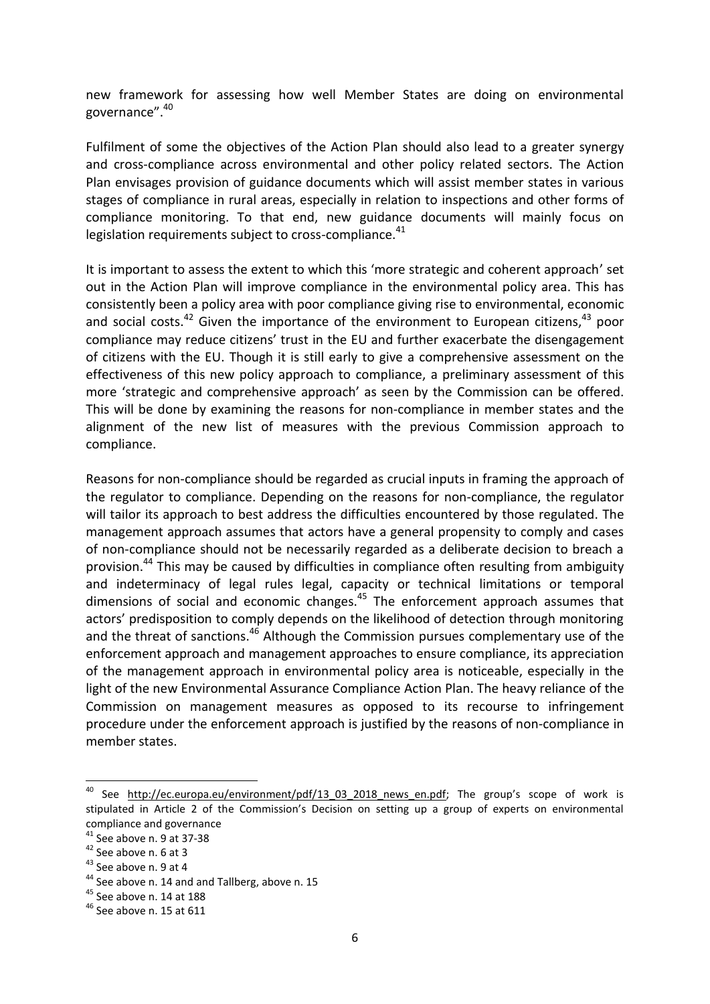new framework for assessing how well Member States are doing on environmental governance".<sup>40</sup>

Fulfilment of some the objectives of the Action Plan should also lead to a greater synergy and cross-compliance across environmental and other policy related sectors. The Action Plan envisages provision of guidance documents which will assist member states in various stages of compliance in rural areas, especially in relation to inspections and other forms of compliance monitoring. To that end, new guidance documents will mainly focus on legislation requirements subject to cross-compliance.<sup>41</sup>

It is important to assess the extent to which this 'more strategic and coherent approach' set out in the Action Plan will improve compliance in the environmental policy area. This has consistently been a policy area with poor compliance giving rise to environmental, economic and social costs.<sup>42</sup> Given the importance of the environment to European citizens,<sup>43</sup> poor compliance may reduce citizens' trust in the EU and further exacerbate the disengagement of citizens with the EU. Though it is still early to give a comprehensive assessment on the effectiveness of this new policy approach to compliance, a preliminary assessment of this more 'strategic and comprehensive approach' as seen by the Commission can be offered. This will be done by examining the reasons for non-compliance in member states and the alignment of the new list of measures with the previous Commission approach to compliance.

Reasons for non-compliance should be regarded as crucial inputs in framing the approach of the regulator to compliance. Depending on the reasons for non-compliance, the regulator will tailor its approach to best address the difficulties encountered by those regulated. The management approach assumes that actors have a general propensity to comply and cases of non-compliance should not be necessarily regarded as a deliberate decision to breach a provision.<sup>44</sup> This may be caused by difficulties in compliance often resulting from ambiguity and indeterminacy of legal rules legal, capacity or technical limitations or temporal dimensions of social and economic changes.<sup>45</sup> The enforcement approach assumes that actors' predisposition to comply depends on the likelihood of detection through monitoring and the threat of sanctions.<sup>46</sup> Although the Commission pursues complementary use of the enforcement approach and management approaches to ensure compliance, its appreciation of the management approach in environmental policy area is noticeable, especially in the light of the new Environmental Assurance Compliance Action Plan. The heavy reliance of the Commission on management measures as opposed to its recourse to infringement procedure under the enforcement approach is justified by the reasons of non-compliance in member states.

<sup>&</sup>lt;sup>40</sup> See http://ec.europa.eu/environment/pdf/13 03 2018 news en.pdf; The group's scope of work is stipulated in Article 2 of the Commission's Decision on setting up a group of experts on environmental compliance and governance

 $41$  See above n. 9 at 37-38

<sup>&</sup>lt;sup>42</sup> See above n. 6 at 3

<sup>&</sup>lt;sup>43</sup> See above n. 9 at 4

<sup>&</sup>lt;sup>44</sup> See above n. 14 and and Tallberg, above n. 15

<sup>45</sup> See above n. 14 at 188

 $46$  See above n. 15 at 611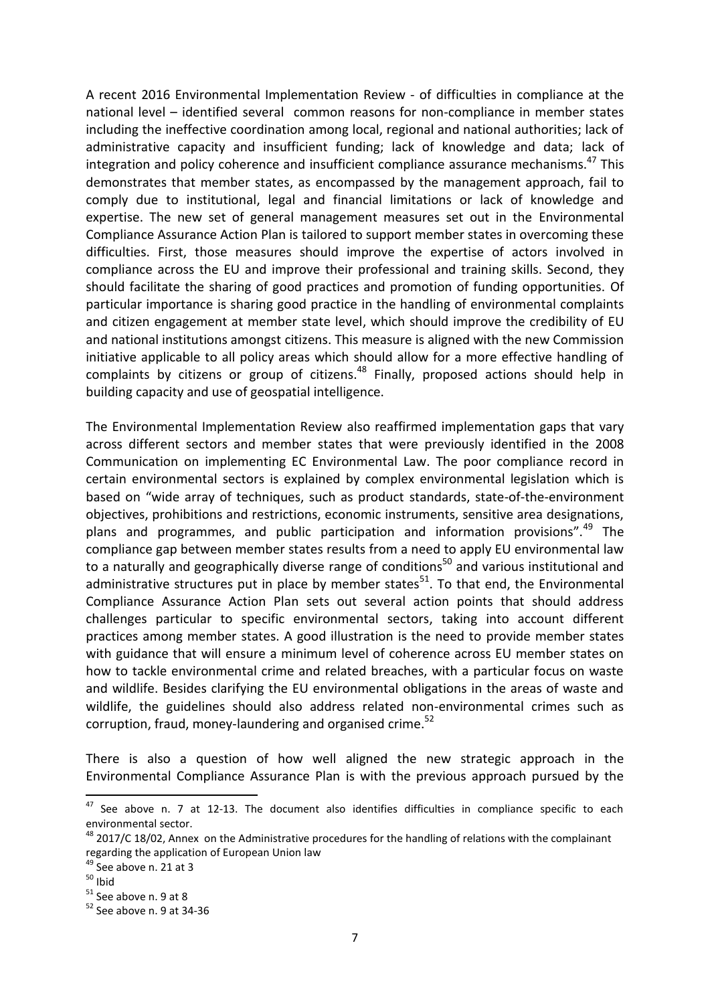A recent 2016 Environmental Implementation Review - of difficulties in compliance at the national level – identified several common reasons for non-compliance in member states including the ineffective coordination among local, regional and national authorities; lack of administrative capacity and insufficient funding; lack of knowledge and data; lack of integration and policy coherence and insufficient compliance assurance mechanisms.<sup>47</sup> This demonstrates that member states, as encompassed by the management approach, fail to comply due to institutional, legal and financial limitations or lack of knowledge and expertise. The new set of general management measures set out in the Environmental Compliance Assurance Action Plan is tailored to support member states in overcoming these difficulties. First, those measures should improve the expertise of actors involved in compliance across the EU and improve their professional and training skills. Second, they should facilitate the sharing of good practices and promotion of funding opportunities. Of particular importance is sharing good practice in the handling of environmental complaints and citizen engagement at member state level, which should improve the credibility of EU and national institutions amongst citizens. This measure is aligned with the new Commission initiative applicable to all policy areas which should allow for a more effective handling of complaints by citizens or group of citizens.<sup>48</sup> Finally, proposed actions should help in building capacity and use of geospatial intelligence.

The Environmental Implementation Review also reaffirmed implementation gaps that vary across different sectors and member states that were previously identified in the 2008 Communication on implementing EC Environmental Law. The poor compliance record in certain environmental sectors is explained by complex environmental legislation which is based on "wide array of techniques, such as product standards, state-of-the-environment objectives, prohibitions and restrictions, economic instruments, sensitive area designations, plans and programmes, and public participation and information provisions".<sup>49</sup> The compliance gap between member states results from a need to apply EU environmental law to a naturally and geographically diverse range of conditions<sup>50</sup> and various institutional and administrative structures put in place by member states<sup>51</sup>. To that end, the Environmental Compliance Assurance Action Plan sets out several action points that should address challenges particular to specific environmental sectors, taking into account different practices among member states. A good illustration is the need to provide member states with guidance that will ensure a minimum level of coherence across EU member states on how to tackle environmental crime and related breaches, with a particular focus on waste and wildlife. Besides clarifying the EU environmental obligations in the areas of waste and wildlife, the guidelines should also address related non-environmental crimes such as corruption, fraud, money-laundering and organised crime.<sup>52</sup>

There is also a question of how well aligned the new strategic approach in the Environmental Compliance Assurance Plan is with the previous approach pursued by the

 $47$  See above n. 7 at 12-13. The document also identifies difficulties in compliance specific to each environmental sector.

 $^{48}$  2017/C 18/02, Annex on the Administrative procedures for the handling of relations with the complainant regarding the application of European Union law

 $49$  See above n. 21 at 3

 $50$  Ibid

 $51$  See above n. 9 at 8

<sup>52</sup> See above n. 9 at 34-36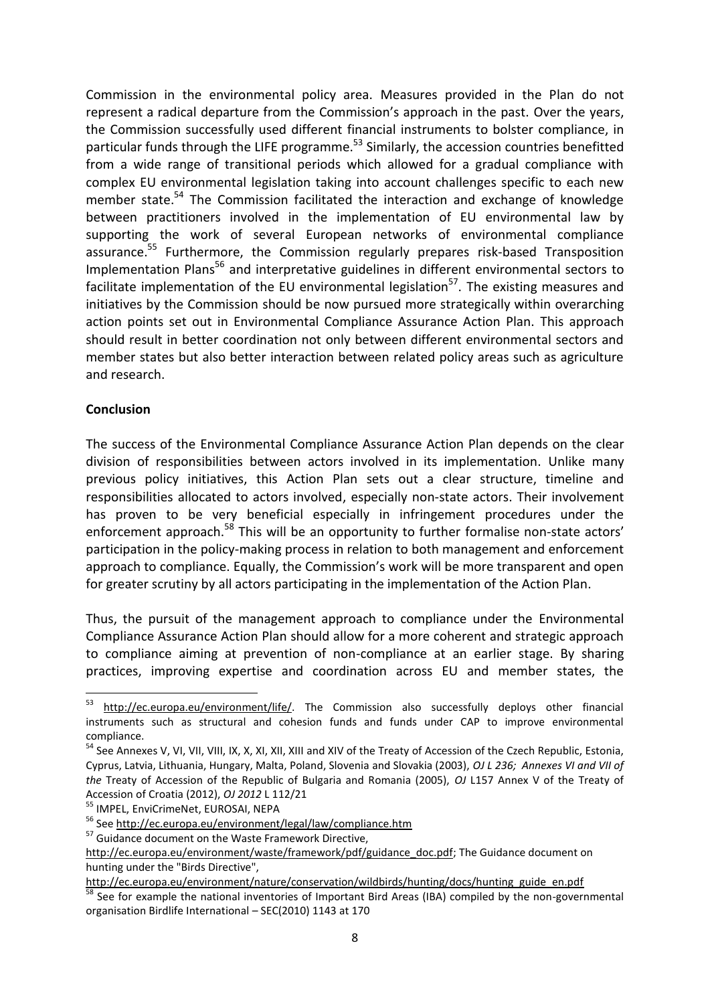Commission in the environmental policy area. Measures provided in the Plan do not represent a radical departure from the Commission's approach in the past. Over the years, the Commission successfully used different financial instruments to bolster compliance, in particular funds through the LIFE programme.<sup>53</sup> Similarly, the accession countries benefitted from a wide range of transitional periods which allowed for a gradual compliance with complex EU environmental legislation taking into account challenges specific to each new member state.<sup>54</sup> The Commission facilitated the interaction and exchange of knowledge between practitioners involved in the implementation of EU environmental law by supporting the work of several European networks of environmental compliance assurance.<sup>55</sup> Furthermore, the Commission regularly prepares risk-based Transposition Implementation Plans<sup>56</sup> and interpretative guidelines in different environmental sectors to facilitate implementation of the EU environmental legislation<sup>57</sup>. The existing measures and initiatives by the Commission should be now pursued more strategically within overarching action points set out in Environmental Compliance Assurance Action Plan. This approach should result in better coordination not only between different environmental sectors and member states but also better interaction between related policy areas such as agriculture and research.

### **Conclusion**

**.** 

The success of the Environmental Compliance Assurance Action Plan depends on the clear division of responsibilities between actors involved in its implementation. Unlike many previous policy initiatives, this Action Plan sets out a clear structure, timeline and responsibilities allocated to actors involved, especially non-state actors. Their involvement has proven to be very beneficial especially in infringement procedures under the enforcement approach.<sup>58</sup> This will be an opportunity to further formalise non-state actors' participation in the policy-making process in relation to both management and enforcement approach to compliance. Equally, the Commission's work will be more transparent and open for greater scrutiny by all actors participating in the implementation of the Action Plan.

Thus, the pursuit of the management approach to compliance under the Environmental Compliance Assurance Action Plan should allow for a more coherent and strategic approach to compliance aiming at prevention of non-compliance at an earlier stage. By sharing practices, improving expertise and coordination across EU and member states, the

<sup>53</sup> [http://ec.europa.eu/environment/life/.](http://ec.europa.eu/environment/life/) The Commission also successfully deploys other financial instruments such as structural and cohesion funds and funds under CAP to improve environmental compliance.

<sup>&</sup>lt;sup>54</sup> See Annexes V, VI, VII, VIII, IX, X, XI, XII, XIII and XIV of the Treaty of Accession of the Czech Republic, Estonia, Cyprus, Latvia, Lithuania, Hungary, Malta, Poland, Slovenia and Slovakia (2003), *OJ L 236; Annexes VI and VII of the* Treaty of Accession of the Republic of Bulgaria and Romania (2005), *OJ* L157 Annex V of the Treaty of Accession of Croatia (2012), *OJ 2012* L 112/21

<sup>55</sup> IMPEL, EnviCrimeNet, EUROSAI, NEPA

<sup>56</sup> Se[e http://ec.europa.eu/environment/legal/law/compliance.htm](http://ec.europa.eu/environment/legal/law/compliance.htm)

<sup>&</sup>lt;sup>57</sup> Guidance document on the Waste Framework Directive,

[http://ec.europa.eu/environment/waste/framework/pdf/guidance\\_doc.pdf;](http://ec.europa.eu/environment/waste/framework/pdf/guidance_doc.pdf) The Guidance document on hunting under the "Birds Directive",

[http://ec.europa.eu/environment/nature/conservation/wildbirds/hunting/docs/hunting\\_guide\\_en.pdf](http://ec.europa.eu/environment/nature/conservation/wildbirds/hunting/docs/hunting_guide_en.pdf)

See for example the national inventories of Important Bird Areas (IBA) compiled by the non-governmental organisation Birdlife International – SEC(2010) 1143 at 170